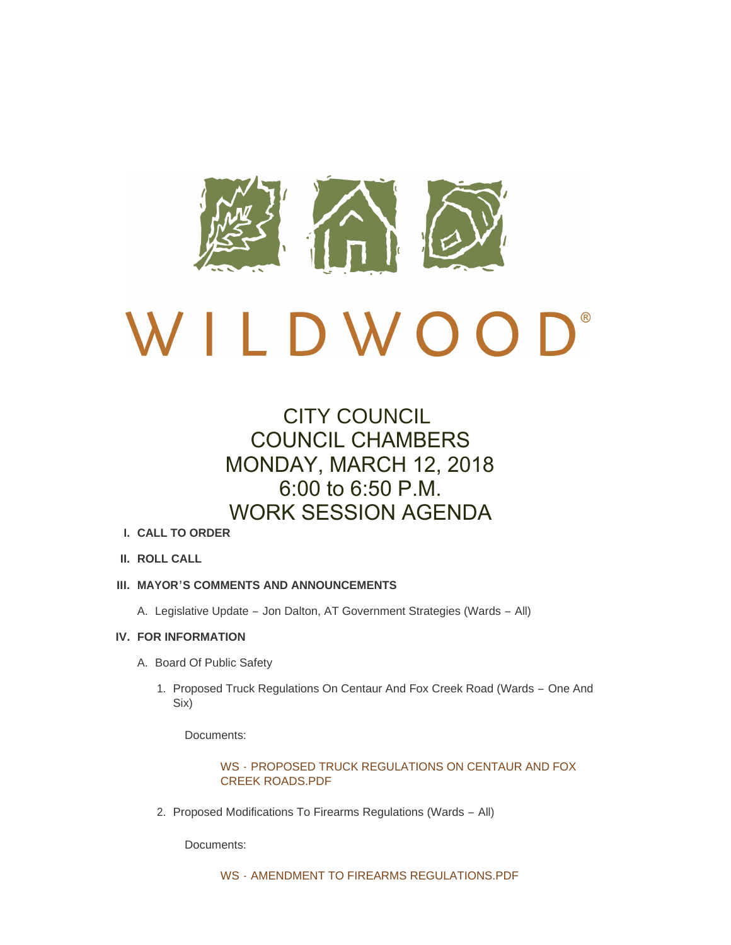

# CITY COUNCIL COUNCIL CHAMBERS MONDAY, MARCH 12, 2018 6:00 to 6:50 P.M. WORK SESSION AGENDA

- **CALL TO ORDER I.**
- **ROLL CALL II.**

# **MAYOR'S COMMENTS AND ANNOUNCEMENTS III.**

A. Legislative Update - Jon Dalton, AT Government Strategies (Wards - All)

# **FOR INFORMATION IV.**

- A. Board Of Public Safety
	- 1. Proposed Truck Regulations On Centaur And Fox Creek Road (Wards One And Six)

Documents:

WS - [PROPOSED TRUCK REGULATIONS ON CENTAUR AND FOX](http://www.cityofwildwood.com/AgendaCenter/ViewFile/Item/14536?fileID=20119)  CREEK ROADS.PDF

2. Proposed Modifications To Firearms Regulations (Wards - All)

Documents: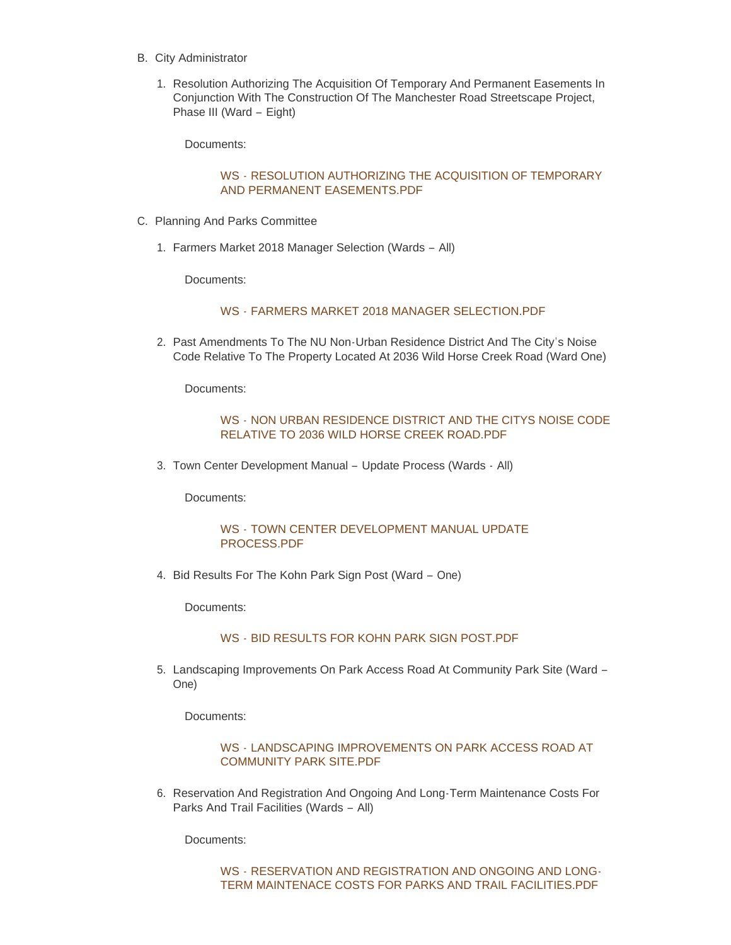- B. City Administrator
	- 1. Resolution Authorizing The Acquisition Of Temporary And Permanent Easements In Conjunction With The Construction Of The Manchester Road Streetscape Project, Phase III (Ward – Eight)

Documents:

## WS - [RESOLUTION AUTHORIZING THE ACQUISITION OF TEMPORARY](http://www.cityofwildwood.com/AgendaCenter/ViewFile/Item/14539?fileID=20121)  AND PERMANENT EASEMENTS.PDF

- C. Planning And Parks Committee
	- Farmers Market 2018 Manager Selection (Wards All) 1.

Documents:

#### WS - [FARMERS MARKET 2018 MANAGER SELECTION.PDF](http://www.cityofwildwood.com/AgendaCenter/ViewFile/Item/14541?fileID=20122)

2. Past Amendments To The NU Non-Urban Residence District And The City's Noise Code Relative To The Property Located At 2036 Wild Horse Creek Road (Ward One)

Documents:

## WS - [NON URBAN RESIDENCE DISTRICT AND THE CITYS NOISE CODE](http://www.cityofwildwood.com/AgendaCenter/ViewFile/Item/14542?fileID=20123)  RELATIVE TO 2036 WILD HORSE CREEK ROAD.PDF

Town Center Development Manual – Update Process (Wards - All) 3.

Documents:

## WS - [TOWN CENTER DEVELOPMENT MANUAL UPDATE](http://www.cityofwildwood.com/AgendaCenter/ViewFile/Item/14543?fileID=20124)  PROCESS.PDF

4. Bid Results For The Kohn Park Sign Post (Ward - One)

Documents:

### WS - [BID RESULTS FOR KOHN PARK SIGN POST.PDF](http://www.cityofwildwood.com/AgendaCenter/ViewFile/Item/14544?fileID=20125)

5. Landscaping Improvements On Park Access Road At Community Park Site (Ward -One)

Documents:

## WS - [LANDSCAPING IMPROVEMENTS ON PARK ACCESS ROAD AT](http://www.cityofwildwood.com/AgendaCenter/ViewFile/Item/14545?fileID=20126)  COMMUNITY PARK SITE.PDF

6. Reservation And Registration And Ongoing And Long-Term Maintenance Costs For Parks And Trail Facilities (Wards – All)

Documents:

WS - RESERVATION AND REGISTRATION AND ONGOING AND LONG-[TERM MAINTENACE COSTS FOR PARKS AND TRAIL FACILITIES.PDF](http://www.cityofwildwood.com/AgendaCenter/ViewFile/Item/14546?fileID=20127)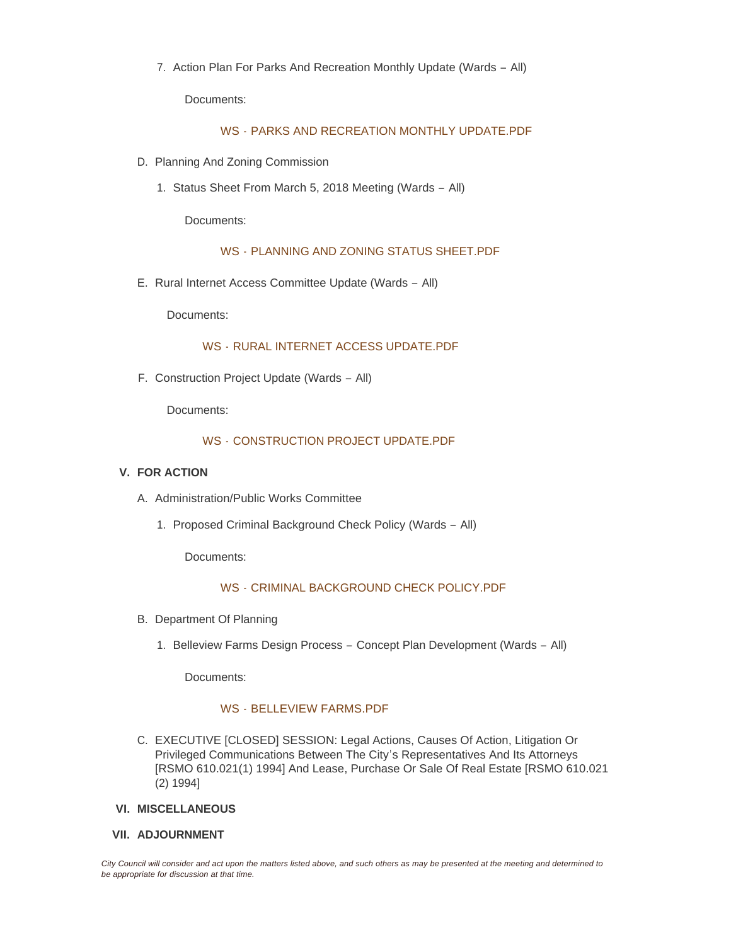7. Action Plan For Parks And Recreation Monthly Update (Wards - All)

Documents:

#### WS - [PARKS AND RECREATION MONTHLY UPDATE.PDF](http://www.cityofwildwood.com/AgendaCenter/ViewFile/Item/14547?fileID=20128)

- D. Planning And Zoning Commission
	- Status Sheet From March 5, 2018 Meeting (Wards All) 1.

Documents:

#### WS - [PLANNING AND ZONING STATUS SHEET.PDF](http://www.cityofwildwood.com/AgendaCenter/ViewFile/Item/14549?fileID=20129)

E. Rural Internet Access Committee Update (Wards - All)

Documents:

#### WS - [RURAL INTERNET ACCESS UPDATE.PDF](http://www.cityofwildwood.com/AgendaCenter/ViewFile/Item/14550?fileID=20130)

F. Construction Project Update (Wards - All)

Documents:

#### WS - [CONSTRUCTION PROJECT UPDATE.PDF](http://www.cityofwildwood.com/AgendaCenter/ViewFile/Item/14551?fileID=20131)

#### **FOR ACTION V.**

- A. Administration/Public Works Committee
	- 1. Proposed Criminal Background Check Policy (Wards All)

Documents:

#### WS - [CRIMINAL BACKGROUND CHECK POLICY.PDF](http://www.cityofwildwood.com/AgendaCenter/ViewFile/Item/14554?fileID=20132)

- B. Department Of Planning
	- 1. Belleview Farms Design Process Concept Plan Development (Wards All)

Documents:

## WS - [BELLEVIEW FARMS.PDF](http://www.cityofwildwood.com/AgendaCenter/ViewFile/Item/14556?fileID=20133)

- C. EXECUTIVE [CLOSED] SESSION: Legal Actions, Causes Of Action, Litigation Or Privileged Communications Between The City's Representatives And Its Attorneys [RSMO 610.021(1) 1994] And Lease, Purchase Or Sale Of Real Estate [RSMO 610.021 (2) 1994]
- **MISCELLANEOUS VI.**
- **ADJOURNMENT VII.**

*City Council will consider and act upon the matters listed above, and such others as may be presented at the meeting and determined to be appropriate for discussion at that time.*